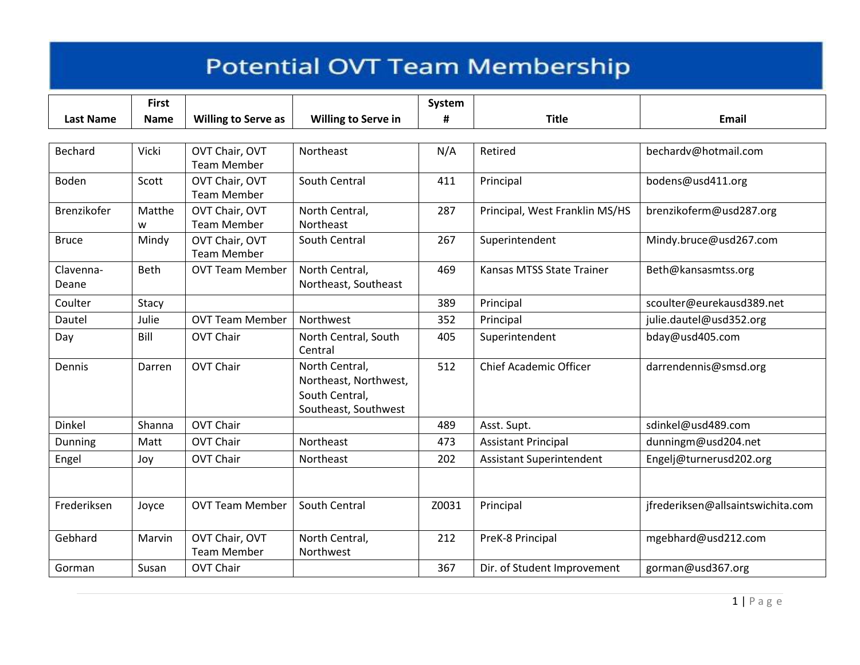|                    | <b>First</b> |                                      |                                                                                   | System |                                 |                                   |
|--------------------|--------------|--------------------------------------|-----------------------------------------------------------------------------------|--------|---------------------------------|-----------------------------------|
| <b>Last Name</b>   | <b>Name</b>  | <b>Willing to Serve as</b>           | <b>Willing to Serve in</b>                                                        | #      | <b>Title</b>                    | <b>Email</b>                      |
|                    |              |                                      |                                                                                   |        |                                 |                                   |
| Bechard            | Vicki        | OVT Chair, OVT<br><b>Team Member</b> | Northeast                                                                         | N/A    | Retired                         | bechardv@hotmail.com              |
| <b>Boden</b>       | Scott        | OVT Chair, OVT<br><b>Team Member</b> | <b>South Central</b>                                                              | 411    | Principal                       | bodens@usd411.org                 |
| Brenzikofer        | Matthe<br>w  | OVT Chair, OVT<br><b>Team Member</b> | North Central,<br>Northeast                                                       | 287    | Principal, West Franklin MS/HS  | brenzikoferm@usd287.org           |
| <b>Bruce</b>       | Mindy        | OVT Chair, OVT<br><b>Team Member</b> | South Central                                                                     | 267    | Superintendent                  | Mindy.bruce@usd267.com            |
| Clavenna-<br>Deane | Beth         | <b>OVT Team Member</b>               | North Central,<br>Northeast, Southeast                                            | 469    | Kansas MTSS State Trainer       | Beth@kansasmtss.org               |
| Coulter            | Stacy        |                                      |                                                                                   | 389    | Principal                       | scoulter@eurekausd389.net         |
| Dautel             | Julie        | <b>OVT Team Member</b>               | Northwest                                                                         | 352    | Principal                       | julie.dautel@usd352.org           |
| Day                | Bill         | <b>OVT Chair</b>                     | North Central, South<br>Central                                                   | 405    | Superintendent                  | bday@usd405.com                   |
| Dennis             | Darren       | <b>OVT Chair</b>                     | North Central,<br>Northeast, Northwest,<br>South Central,<br>Southeast, Southwest | 512    | <b>Chief Academic Officer</b>   | darrendennis@smsd.org             |
| Dinkel             | Shanna       | <b>OVT Chair</b>                     |                                                                                   | 489    | Asst. Supt.                     | sdinkel@usd489.com                |
| Dunning            | Matt         | <b>OVT Chair</b>                     | Northeast                                                                         | 473    | <b>Assistant Principal</b>      | dunningm@usd204.net               |
| Engel              | Joy          | <b>OVT Chair</b>                     | Northeast                                                                         | 202    | <b>Assistant Superintendent</b> | Engelj@turnerusd202.org           |
|                    |              |                                      |                                                                                   |        |                                 |                                   |
| Frederiksen        | Joyce        | <b>OVT Team Member</b>               | South Central                                                                     | Z0031  | Principal                       | jfrederiksen@allsaintswichita.com |
| Gebhard            | Marvin       | OVT Chair, OVT<br><b>Team Member</b> | North Central,<br>Northwest                                                       | 212    | PreK-8 Principal                | mgebhard@usd212.com               |
| Gorman             | Susan        | <b>OVT Chair</b>                     |                                                                                   | 367    | Dir. of Student Improvement     | gorman@usd367.org                 |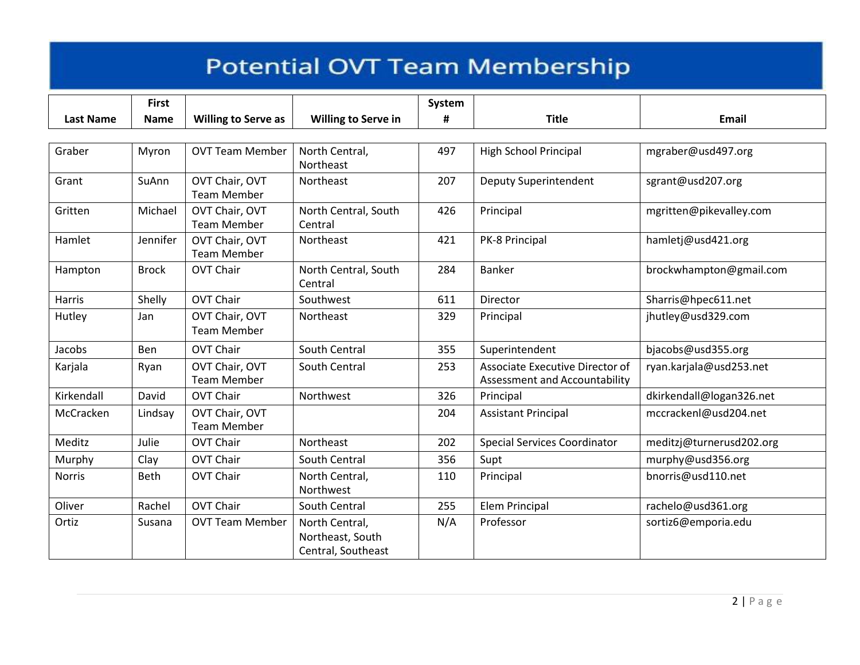|                  | <b>First</b> |                                      |                                                          | System |                                                                  |                          |
|------------------|--------------|--------------------------------------|----------------------------------------------------------|--------|------------------------------------------------------------------|--------------------------|
| <b>Last Name</b> | <b>Name</b>  | <b>Willing to Serve as</b>           | <b>Willing to Serve in</b>                               | #      | <b>Title</b>                                                     | Email                    |
|                  |              |                                      |                                                          |        |                                                                  |                          |
| Graber           | Myron        | <b>OVT Team Member</b>               | North Central,<br>Northeast                              | 497    | <b>High School Principal</b>                                     | mgraber@usd497.org       |
| Grant            | SuAnn        | OVT Chair, OVT<br><b>Team Member</b> | Northeast                                                | 207    | Deputy Superintendent                                            | sgrant@usd207.org        |
| Gritten          | Michael      | OVT Chair, OVT<br><b>Team Member</b> | North Central, South<br>Central                          | 426    | Principal                                                        | mgritten@pikevalley.com  |
| Hamlet           | Jennifer     | OVT Chair, OVT<br><b>Team Member</b> | Northeast                                                | 421    | PK-8 Principal                                                   | hamletj@usd421.org       |
| Hampton          | <b>Brock</b> | <b>OVT Chair</b>                     | North Central, South<br>Central                          | 284    | Banker                                                           | brockwhampton@gmail.com  |
| Harris           | Shelly       | <b>OVT Chair</b>                     | Southwest                                                | 611    | Director                                                         | Sharris@hpec611.net      |
| Hutley           | Jan          | OVT Chair, OVT<br><b>Team Member</b> | Northeast                                                | 329    | Principal                                                        | jhutley@usd329.com       |
| Jacobs           | Ben          | <b>OVT Chair</b>                     | South Central                                            | 355    | Superintendent                                                   | bjacobs@usd355.org       |
| Karjala          | Ryan         | OVT Chair, OVT<br><b>Team Member</b> | South Central                                            | 253    | Associate Executive Director of<br>Assessment and Accountability | ryan.karjala@usd253.net  |
| Kirkendall       | David        | <b>OVT Chair</b>                     | Northwest                                                | 326    | Principal                                                        | dkirkendall@logan326.net |
| McCracken        | Lindsay      | OVT Chair, OVT<br><b>Team Member</b> |                                                          | 204    | <b>Assistant Principal</b>                                       | mccrackenl@usd204.net    |
| Meditz           | Julie        | <b>OVT Chair</b>                     | Northeast                                                | 202    | <b>Special Services Coordinator</b>                              | meditzj@turnerusd202.org |
| Murphy           | Clay         | <b>OVT Chair</b>                     | South Central                                            | 356    | Supt                                                             | murphy@usd356.org        |
| <b>Norris</b>    | <b>Beth</b>  | <b>OVT Chair</b>                     | North Central,<br>Northwest                              | 110    | Principal                                                        | bnorris@usd110.net       |
| Oliver           | Rachel       | <b>OVT Chair</b>                     | South Central                                            | 255    | Elem Principal                                                   | rachelo@usd361.org       |
| Ortiz            | Susana       | <b>OVT Team Member</b>               | North Central,<br>Northeast, South<br>Central, Southeast | N/A    | Professor                                                        | sortiz6@emporia.edu      |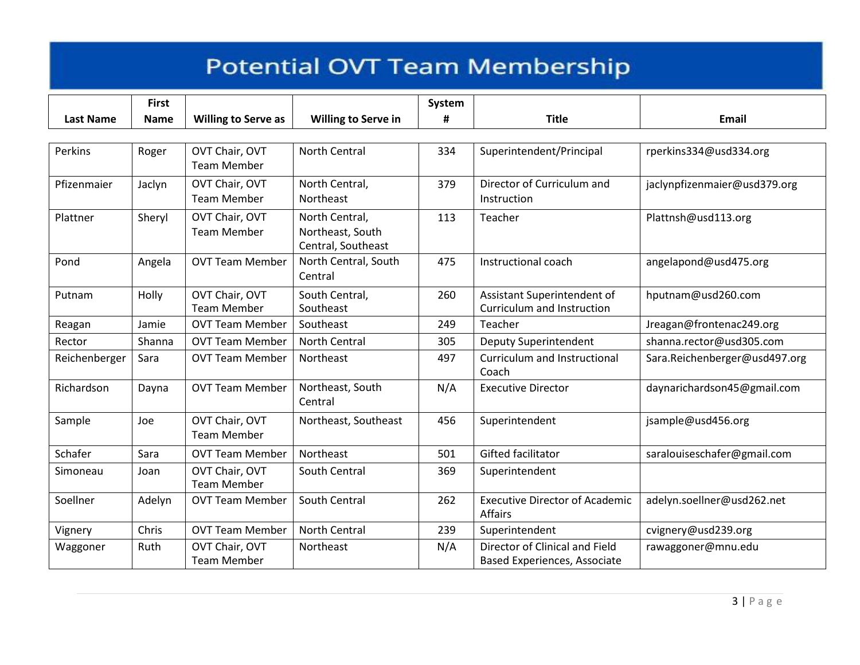|                  | <b>First</b> |                                      |                                                          | System |                                                                |                               |
|------------------|--------------|--------------------------------------|----------------------------------------------------------|--------|----------------------------------------------------------------|-------------------------------|
| <b>Last Name</b> | <b>Name</b>  | <b>Willing to Serve as</b>           | <b>Willing to Serve in</b>                               | #      | <b>Title</b>                                                   | <b>Email</b>                  |
|                  |              |                                      |                                                          |        |                                                                |                               |
| Perkins          | Roger        | OVT Chair, OVT<br><b>Team Member</b> | <b>North Central</b>                                     | 334    | Superintendent/Principal                                       | rperkins334@usd334.org        |
| Pfizenmaier      | Jaclyn       | OVT Chair, OVT<br><b>Team Member</b> | North Central,<br>Northeast                              | 379    | Director of Curriculum and<br>Instruction                      | jaclynpfizenmaier@usd379.org  |
| Plattner         | Sheryl       | OVT Chair, OVT<br><b>Team Member</b> | North Central,<br>Northeast, South<br>Central, Southeast | 113    | Teacher                                                        | Plattnsh@usd113.org           |
| Pond             | Angela       | <b>OVT Team Member</b>               | North Central, South<br>Central                          | 475    | Instructional coach                                            | angelapond@usd475.org         |
| Putnam           | Holly        | OVT Chair, OVT<br><b>Team Member</b> | South Central,<br>Southeast                              | 260    | Assistant Superintendent of<br>Curriculum and Instruction      | hputnam@usd260.com            |
| Reagan           | Jamie        | <b>OVT Team Member</b>               | Southeast                                                | 249    | Teacher                                                        | Jreagan@frontenac249.org      |
| Rector           | Shanna       | <b>OVT Team Member</b>               | North Central                                            | 305    | Deputy Superintendent                                          | shanna.rector@usd305.com      |
| Reichenberger    | Sara         | <b>OVT Team Member</b>               | Northeast                                                | 497    | Curriculum and Instructional<br>Coach                          | Sara.Reichenberger@usd497.org |
| Richardson       | Dayna        | <b>OVT Team Member</b>               | Northeast, South<br>Central                              | N/A    | <b>Executive Director</b>                                      | daynarichardson45@gmail.com   |
| Sample           | Joe          | OVT Chair, OVT<br><b>Team Member</b> | Northeast, Southeast                                     | 456    | Superintendent                                                 | jsample@usd456.org            |
| Schafer          | Sara         | <b>OVT Team Member</b>               | Northeast                                                | 501    | <b>Gifted facilitator</b>                                      | saralouiseschafer@gmail.com   |
| Simoneau         | Joan         | OVT Chair, OVT<br><b>Team Member</b> | South Central                                            | 369    | Superintendent                                                 |                               |
| Soellner         | Adelyn       | <b>OVT Team Member</b>               | South Central                                            | 262    | <b>Executive Director of Academic</b><br>Affairs               | adelyn.soellner@usd262.net    |
| Vignery          | Chris        | <b>OVT Team Member</b>               | <b>North Central</b>                                     | 239    | Superintendent                                                 | cvignery@usd239.org           |
| Waggoner         | Ruth         | OVT Chair, OVT<br><b>Team Member</b> | Northeast                                                | N/A    | Director of Clinical and Field<br>Based Experiences, Associate | rawaggoner@mnu.edu            |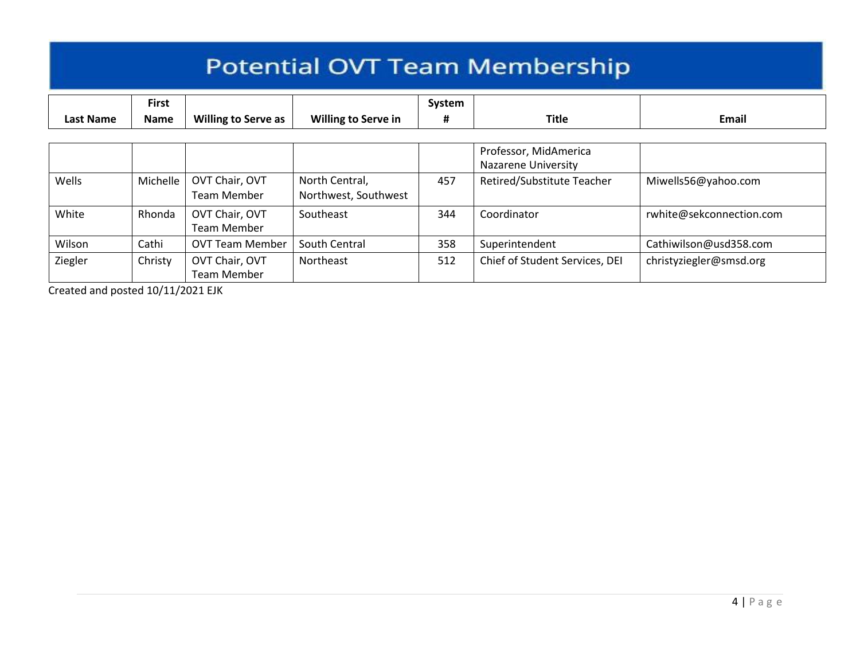| <b>Potential OVT Team Membership</b> |                             |                               |                                        |             |                                                     |                          |  |  |
|--------------------------------------|-----------------------------|-------------------------------|----------------------------------------|-------------|-----------------------------------------------------|--------------------------|--|--|
| Last Name                            | <b>First</b><br><b>Name</b> | <b>Willing to Serve as</b>    | <b>Willing to Serve in</b>             | System<br># | <b>Title</b>                                        | Email                    |  |  |
|                                      |                             |                               |                                        |             | Professor, MidAmerica<br><b>Nazarene University</b> |                          |  |  |
| Wells                                | Michelle                    | OVT Chair, OVT<br>Team Member | North Central,<br>Northwest, Southwest | 457         | Retired/Substitute Teacher                          | Miwells56@yahoo.com      |  |  |
| White                                | Rhonda                      | OVT Chair, OVT<br>Team Member | Southeast                              | 344         | Coordinator                                         | rwhite@sekconnection.com |  |  |
| Wilson                               | Cathi                       | <b>OVT Team Member</b>        | South Central                          | 358         | Superintendent                                      | Cathiwilson@usd358.com   |  |  |
| Ziegler                              | Christy                     | OVT Chair, OVT<br>Team Member | Northeast                              | 512         | Chief of Student Services, DEI                      | christyziegler@smsd.org  |  |  |

Created and posted 10/11/2021 EJK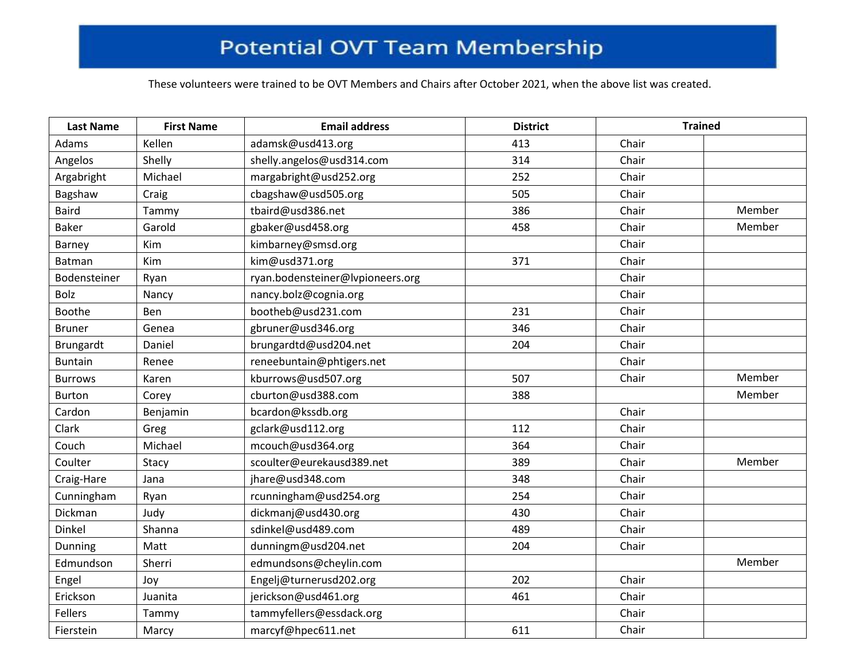These volunteers were trained to be OVT Members and Chairs after October 2021, when the above list was created.

| <b>Last Name</b> | <b>First Name</b> | <b>Email address</b>             | <b>District</b> | <b>Trained</b> |        |
|------------------|-------------------|----------------------------------|-----------------|----------------|--------|
| Adams            | Kellen            | adamsk@usd413.org                | 413             | Chair          |        |
| Angelos          | Shelly            | shelly.angelos@usd314.com        | 314             | Chair          |        |
| Argabright       | Michael           | margabright@usd252.org           | 252             | Chair          |        |
| Bagshaw          | Craig             | cbagshaw@usd505.org              | 505             | Chair          |        |
| <b>Baird</b>     | Tammy             | tbaird@usd386.net                | 386             | Chair          | Member |
| <b>Baker</b>     | Garold            | gbaker@usd458.org                | 458             | Chair          | Member |
| Barney           | Kim               | kimbarney@smsd.org               |                 | Chair          |        |
| <b>Batman</b>    | Kim               | kim@usd371.org                   | 371             | Chair          |        |
| Bodensteiner     | Ryan              | ryan.bodensteiner@lvpioneers.org |                 | Chair          |        |
| Bolz             | Nancy             | nancy.bolz@cognia.org            |                 | Chair          |        |
| Boothe           | Ben               | bootheb@usd231.com               | 231             | Chair          |        |
| <b>Bruner</b>    | Genea             | gbruner@usd346.org               | 346             | Chair          |        |
| Brungardt        | Daniel            | brungardtd@usd204.net            | 204             | Chair          |        |
| <b>Buntain</b>   | Renee             | reneebuntain@phtigers.net        |                 | Chair          |        |
| <b>Burrows</b>   | Karen             | kburrows@usd507.org              | 507             | Chair          | Member |
| <b>Burton</b>    | Corey             | cburton@usd388.com               | 388             |                | Member |
| Cardon           | Benjamin          | bcardon@kssdb.org                |                 | Chair          |        |
| Clark            | Greg              | gclark@usd112.org                | 112             | Chair          |        |
| Couch            | Michael           | mcouch@usd364.org                | 364             | Chair          |        |
| Coulter          | Stacy             | scoulter@eurekausd389.net        | 389             | Chair          | Member |
| Craig-Hare       | Jana              | jhare@usd348.com                 | 348             | Chair          |        |
| Cunningham       | Ryan              | rcunningham@usd254.org           | 254             | Chair          |        |
| Dickman          | Judy              | dickmanj@usd430.org              | 430             | Chair          |        |
| Dinkel           | Shanna            | sdinkel@usd489.com               | 489             | Chair          |        |
| Dunning          | Matt              | dunningm@usd204.net              | 204             | Chair          |        |
| Edmundson        | Sherri            | edmundsons@cheylin.com           |                 |                | Member |
| Engel            | Joy               | Engelj@turnerusd202.org          | 202             | Chair          |        |
| Erickson         | Juanita           | jerickson@usd461.org             | 461             | Chair          |        |
| <b>Fellers</b>   | Tammy             | tammyfellers@essdack.org         |                 | Chair          |        |
| Fierstein        | Marcy             | marcyf@hpec611.net               | 611             | Chair          |        |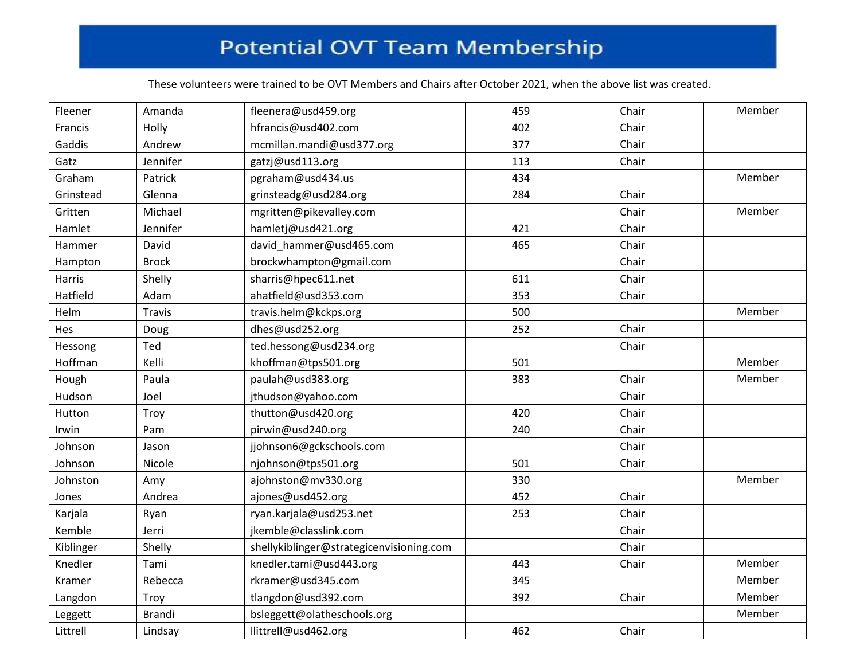These volunteers were trained to be OVT Members and Chairs after October 2021, when the above list was created.

| Fleener   | Amanda        | fleenera@usd459.org                      | 459 | Chair | Member |
|-----------|---------------|------------------------------------------|-----|-------|--------|
| Francis   | Holly         | hfrancis@usd402.com                      | 402 | Chair |        |
| Gaddis    | Andrew        | mcmillan.mandi@usd377.org                | 377 | Chair |        |
| Gatz      | Jennifer      | gatzj@usd113.org                         | 113 | Chair |        |
| Graham    | Patrick       | pgraham@usd434.us                        | 434 |       | Member |
| Grinstead | Glenna        | grinsteadg@usd284.org                    | 284 | Chair |        |
| Gritten   | Michael       | mgritten@pikevalley.com                  |     | Chair | Member |
| Hamlet    | Jennifer      | hamletj@usd421.org                       | 421 | Chair |        |
| Hammer    | David         | david_hammer@usd465.com                  | 465 | Chair |        |
| Hampton   | <b>Brock</b>  | brockwhampton@gmail.com                  |     | Chair |        |
| Harris    | Shelly        | sharris@hpec611.net                      | 611 | Chair |        |
| Hatfield  | Adam          | ahatfield@usd353.com                     | 353 | Chair |        |
| Helm      | <b>Travis</b> | travis.helm@kckps.org                    | 500 |       | Member |
| Hes       | Doug          | dhes@usd252.org                          | 252 | Chair |        |
| Hessong   | Ted           | ted.hessong@usd234.org                   |     | Chair |        |
| Hoffman   | Kelli         | khoffman@tps501.org                      | 501 |       | Member |
| Hough     | Paula         | paulah@usd383.org                        | 383 | Chair | Member |
| Hudson    | Joel          | jthudson@yahoo.com                       |     | Chair |        |
| Hutton    | Troy          | thutton@usd420.org                       | 420 | Chair |        |
| Irwin     | Pam           | pirwin@usd240.org                        | 240 | Chair |        |
| Johnson   | Jason         | jjohnson6@gckschools.com                 |     | Chair |        |
| Johnson   | Nicole        | njohnson@tps501.org                      | 501 | Chair |        |
| Johnston  | Amy           | ajohnston@mv330.org                      | 330 |       | Member |
| Jones     | Andrea        | ajones@usd452.org                        | 452 | Chair |        |
| Karjala   | Ryan          | ryan.karjala@usd253.net                  | 253 | Chair |        |
| Kemble    | Jerri         | jkemble@classlink.com                    |     | Chair |        |
| Kiblinger | Shelly        | shellykiblinger@strategicenvisioning.com |     | Chair |        |
| Knedler   | Tami          | knedler.tami@usd443.org                  | 443 | Chair | Member |
| Kramer    | Rebecca       | rkramer@usd345.com                       | 345 |       | Member |
| Langdon   | Troy          | tlangdon@usd392.com                      | 392 | Chair | Member |
| Leggett   | <b>Brandi</b> | bsleggett@olatheschools.org              |     |       | Member |
| Littrell  | Lindsay       | llittrell@usd462.org                     | 462 | Chair |        |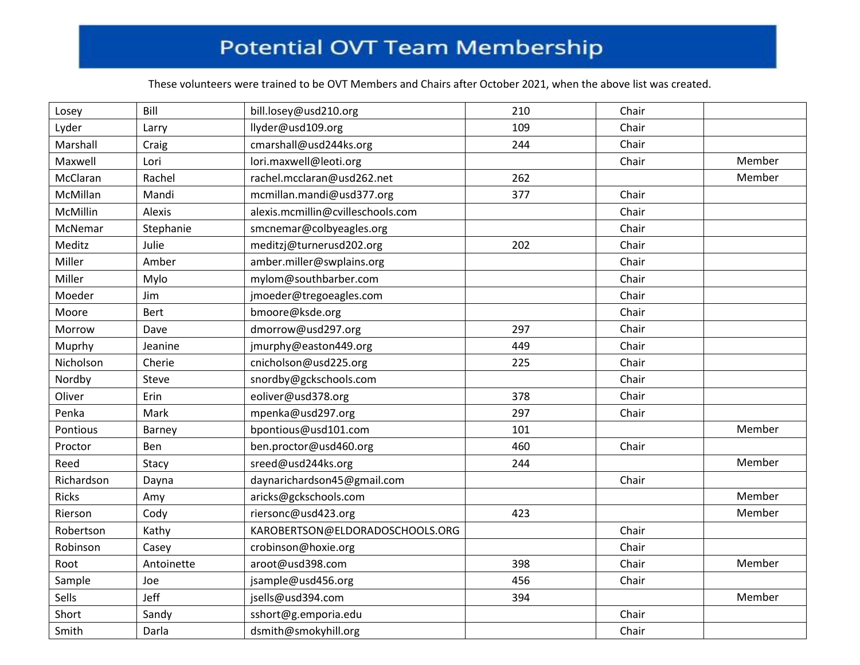These volunteers were trained to be OVT Members and Chairs after October 2021, when the above list was created.

| Losey        | Bill       | bill.losey@usd210.org             | 210 | Chair |        |
|--------------|------------|-----------------------------------|-----|-------|--------|
| Lyder        | Larry      | llyder@usd109.org                 | 109 | Chair |        |
| Marshall     | Craig      | cmarshall@usd244ks.org            | 244 | Chair |        |
| Maxwell      | Lori       | lori.maxwell@leoti.org            |     | Chair | Member |
| McClaran     | Rachel     | rachel.mcclaran@usd262.net        | 262 |       | Member |
| McMillan     | Mandi      | mcmillan.mandi@usd377.org         | 377 | Chair |        |
| McMillin     | Alexis     | alexis.mcmillin@cvilleschools.com |     | Chair |        |
| McNemar      | Stephanie  | smcnemar@colbyeagles.org          |     | Chair |        |
| Meditz       | Julie      | meditzj@turnerusd202.org          | 202 | Chair |        |
| Miller       | Amber      | amber.miller@swplains.org         |     | Chair |        |
| Miller       | Mylo       | mylom@southbarber.com             |     | Chair |        |
| Moeder       | Jim        | jmoeder@tregoeagles.com           |     | Chair |        |
| Moore        | Bert       | bmoore@ksde.org                   |     | Chair |        |
| Morrow       | Dave       | dmorrow@usd297.org                | 297 | Chair |        |
| Muprhy       | Jeanine    | jmurphy@easton449.org             | 449 | Chair |        |
| Nicholson    | Cherie     | cnicholson@usd225.org             | 225 | Chair |        |
| Nordby       | Steve      | snordby@gckschools.com            |     | Chair |        |
| Oliver       | Erin       | eoliver@usd378.org                | 378 | Chair |        |
| Penka        | Mark       | mpenka@usd297.org                 | 297 | Chair |        |
| Pontious     | Barney     | bpontious@usd101.com              | 101 |       | Member |
| Proctor      | Ben        | ben.proctor@usd460.org            | 460 | Chair |        |
| Reed         | Stacy      | sreed@usd244ks.org                | 244 |       | Member |
| Richardson   | Dayna      | daynarichardson45@gmail.com       |     | Chair |        |
| <b>Ricks</b> | Amy        | aricks@gckschools.com             |     |       | Member |
| Rierson      | Cody       | riersonc@usd423.org               | 423 |       | Member |
| Robertson    | Kathy      | KAROBERTSON@ELDORADOSCHOOLS.ORG   |     | Chair |        |
| Robinson     | Casey      | crobinson@hoxie.org               |     | Chair |        |
| Root         | Antoinette | aroot@usd398.com                  | 398 | Chair | Member |
| Sample       | Joe        | jsample@usd456.org                | 456 | Chair |        |
| Sells        | Jeff       | jsells@usd394.com                 | 394 |       | Member |
| Short        | Sandy      | sshort@g.emporia.edu              |     | Chair |        |
| Smith        | Darla      | dsmith@smokyhill.org              |     | Chair |        |